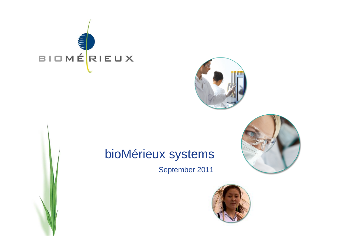



# bioMérieux systems

September 2011



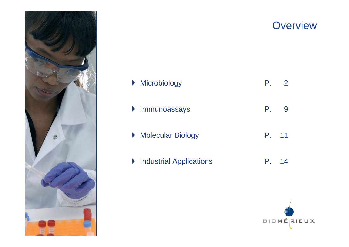

# ▶ Microbiology P. 2 ` Immunoassays P. 9 ▶ Molecular Biology P. 11 **The Industrial Applications P. 14**



### **Overview**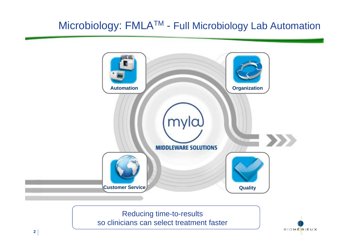### Microbiology: FMLATM - Full Microbiology Lab Automation



so clinicians can select treatment faster

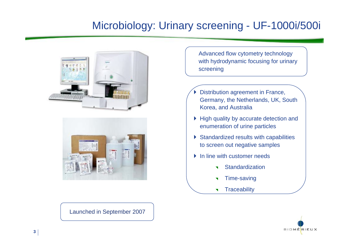### Microbiology: Urinary screening - UF-1000i/500i





Advanced flow cytometry technology with hydrodynamic focusing for urinary screening

- $\blacktriangleright$  Distribution agreement in France, Germany, the Netherlands, UK, South Korea, and Australia
- ` High quality by accurate detection and enumeration of urine particles
- $\triangleright$  Standardized results with capabilities to screen out negative samples
- $\blacktriangleright$  In line with customer needs
	- $\blacktriangledown$ **Standardization**
	- ◥ Time-saving
	- $\blacktriangledown$ **Traceability**



Launched in September 2007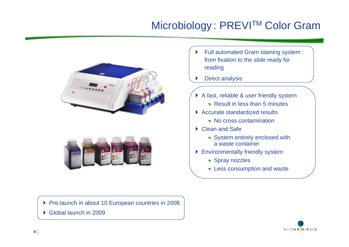# Microbiology: PREVI™ Color Gram





 $\blacktriangleright$  Full automated Gram staining system : from fixation to the slide ready for reading

 $\blacktriangleright$ Direct analysis

- ▶ A fast, reliable & user friendly system
	- **Result in less than 5 minutes**
- ▶ Accurate standardized results
	- No cross contamination
- ▶ Clean and Safe
	- **System entirely enclosed with** a waste container
- **Environmentally friendly system** 
	- **Spray nozzles**
	- **T** Less consumption and waste

▶ Pre-launch in about 10 European countries in 2008

▶ Global launch in 2009

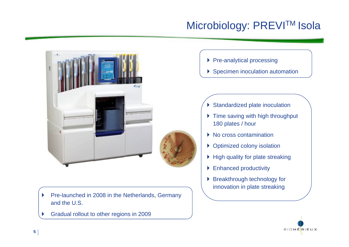# Microbiology: PREVI™ Isola



- $\blacktriangleright$  Pre-launched in 2008 in the Netherlands, Germany and the U.S.
- $\blacktriangleright$ Gradual rollout to other regions in 2009
- ▶ Pre-analytical processing
- **>** Specimen inoculation automation

- **Standardized plate inoculation**
- $\blacktriangleright$  Time saving with high throughput 180 plates / hour
- $\triangleright$  No cross contamination
- **Optimized colony isolation**
- $\blacktriangleright$  High quality for plate streaking
- **Enhanced productivity**
- **Breakthrough technology for** innovation in plate streaking

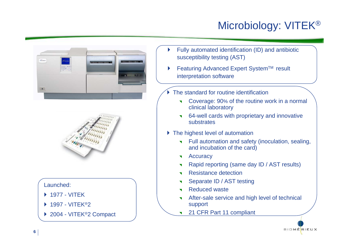# Microbiology: VITEK®





### Launched:

- ` 1977 VITEK
- ▶ 1997 VITEK®2
- ▶ 2004 VITEK<sup>®</sup>2 Compact
- ` Fully automated identification (ID) and antibiotic susceptibility testing (AST)
- $\blacktriangleright$ Featuring Advanced Expert System™ result interpretation software
- ` The standard for routine identification
	- 7 Coverage: 90% of the routine work in a normal clinical laboratory
	- 7 64-well cards with proprietary and innovative substrates
- **The highest level of automation** 
	- **Theoral Exercice System** Full automation and safety (inoculation, sealing, and incubation of the card)
	- $\overline{\mathbf{v}}$ **Accuracy**
	- $\blacktriangledown$ Rapid reporting (same day ID / AST results)
	- **Resistance detection**
	- 7 Separate ID / AST testing
	- 7 Reduced waste
	- $\blacktriangledown$  After-sale service and high level of technical support
	- $\overline{\mathbf{v}}$ 21 CFR Part 11 compliant

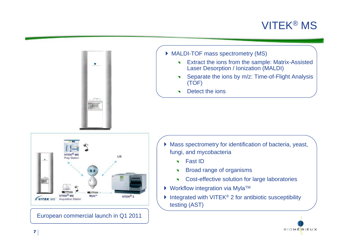### VITEK® MS





- $\blacktriangledown$  Extract the ions from the sample: Matrix-Assisted Laser Desorption / Ionization (MALDI)
- $\blacktriangledown$  Separate the ions by m/z: Time-of-Flight Analysis (TOF)
- $\blacktriangledown$ Detect the ions



European commercial launch in Q1 2011

- ` Mass spectrometry for identification of bacteria, yeast, fungi, and mycobacteria
	- **T** Fast ID
	- $\blacktriangledown$ Broad range of organisms
	- $\blacktriangledown$ Cost-effective solution for large laboratories
- $\blacktriangleright$  Workflow integration via Myla<sup>TM</sup>
- $\blacktriangleright$  Integrated with VITEK<sup>®</sup> 2 for antibiotic susceptibility testing (AST)

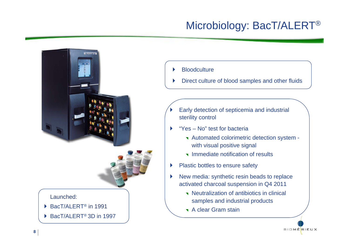### Microbiology: BacT/ALERT®





### Launched:

- ▶ BacT/ALERT<sup>®</sup> in 1991
- ▶ BacT/ALERT<sup>®</sup> 3D in 1997

#### $\blacktriangleright$ **Bloodculture**

- $\blacktriangleright$ Direct culture of blood samples and other fluids
- $\blacktriangleright$  Early detection of septicemia and industrial sterility control
- $\blacktriangleright$  "Yes – No" test for bacteria
	- **v** Automated colorimetric detection system with visual positive signal
	- **The Immediate notification of results**
- $\blacktriangleright$ Plastic bottles to ensure safety
- $\blacktriangleright$  New media: synthetic resin beads to replace activated charcoal suspension in Q4 2011
	- **Neutralization of antibiotics in clinical** samples and industrial products
	- **T** A clear Gram stain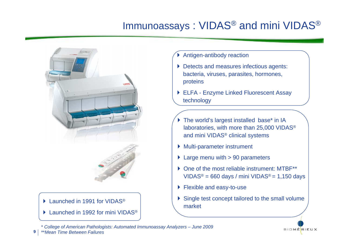### Immunoassays : VIDAS® and mini VIDAS®



### $\blacktriangleright$  Launched in 1991 for VIDAS®

 $\blacktriangleright$  Launched in 1992 for mini VIDAS®

- $\blacktriangleright$ Antigen-antibody reaction
- **Detects and measures infectious agents:** bacteria, viruses, parasites, hormones, proteins
- ▶ ELFA Enzyme Linked Fluorescent Assay technology
- $\blacktriangleright$  The world's largest installed base\* in IA laboratories, with more than 25,000 VIDAS® and mini VIDAS® clinical systems
- ` Multi-parameter instrument
- $\blacktriangleright$  Large menu with  $> 90$  parameters
- ▶ One of the most reliable instrument: MTBF\*\*  $VIDAS<sup>®</sup> = 660 days / mini VIDAS<sup>®</sup> = 1,150 days$
- **Flexible and easy-to-use**
- $\triangleright$  Single test concept tailored to the small volume market

**BIOMÉRIEUX** 

\* *College of American Pathologists: Automated Immunoassay Analyzers – June 2009*

**9**\*\**Mean Time Between Failures*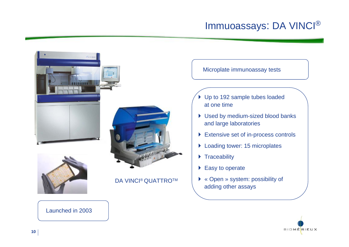### Immuoassays: DA VINCI®



### Launched in 2003



- **I** Used by medium-sized blood banks and large laboratories
- **Extensive set of in-process controls**
- ▶ Loading tower: 15 microplates
- ▶ Traceability
- $\blacktriangleright$  Easy to operate
- ▶ « Open » system: possibility of adding other assays

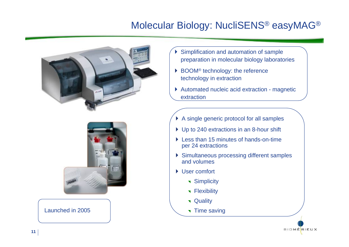### Molecular Biology: NucliSENS® easyMAG®





Launched in 2005

- $\blacktriangleright$  Simplification and automation of sample preparation in molecular biology laboratories
- ▶ BOOM<sup>®</sup> technology: the reference technology in extraction
- ▶ Automated nucleic acid extraction magnetic extraction
- $\triangleright$  A single generic protocol for all samples
- ▶ Up to 240 extractions in an 8-hour shift
- ▶ Less than 15 minutes of hands-on-time per 24 extractions
- **> Simultaneous processing different samples** and volumes

**BIOMÉRIEUX** 

- ▶ User comfort
	- **T** Simplicity
	- **T** Flexibility
	- **v** Quality
	- **Time saving**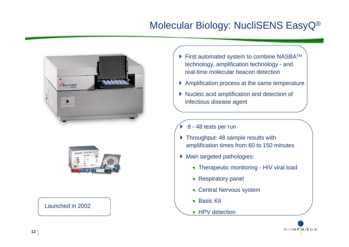### Molecular Biology: NucliSENS EasyQ®





Launched in 2002

- $\blacktriangleright$  First automated system to combine NASBA<sup>TM</sup> technology, amplification technology - and real-time molecular beacon detection
- ` Amplification process at the same temperature
- ` Nucleic acid amplification and detection of infectious disease agent
- $\blacktriangleright$ 8 - 48 tests per run
- **Throughput: 48 sample results with** amplification times from 60 to 150 minutes
- **Main targeted pathologies:** 
	- **Therapeutic monitoring HIV viral load**
	- **Respiratory panel**
	- **T** Central Nervous system
	- ▼ Basic Kit
	- **T** HPV detection

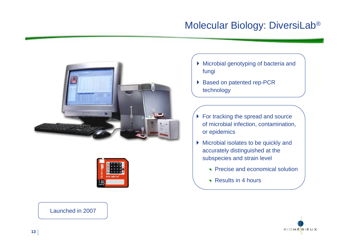### Molecular Biology: DiversiLab®





**Microbial genotyping of bacteria and** fungi

- ▶ Based on patented rep-PCR technology
- $\blacktriangleright$  For tracking the spread and source of microbial infection, contamination, or epidemics
- ` Microbial isolates to be quickly and accurately distinguished at the subspecies and strain level
	- Precise and economical solution
	- **Results in 4 hours**

Launched in 2007

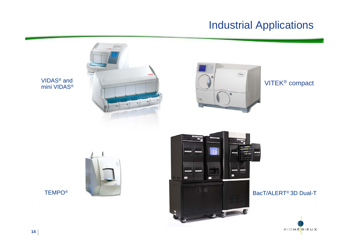### Industrial Applications

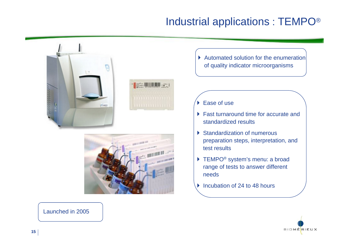### Industrial applications : TEMPO®





 $\blacktriangleright$  Automated solution for the enumeration of quality indicator microorganisms

▶ Ease of use

- **Fast turnaround time for accurate and** standardized results
- **Standardization of numerous** preparation steps, interpretation, and test results
- ▶ TEMPO<sup>®</sup> system's menu: a broad range of tests to answer different needs
- $\blacktriangleright$ Incubation of 24 to 48 hours